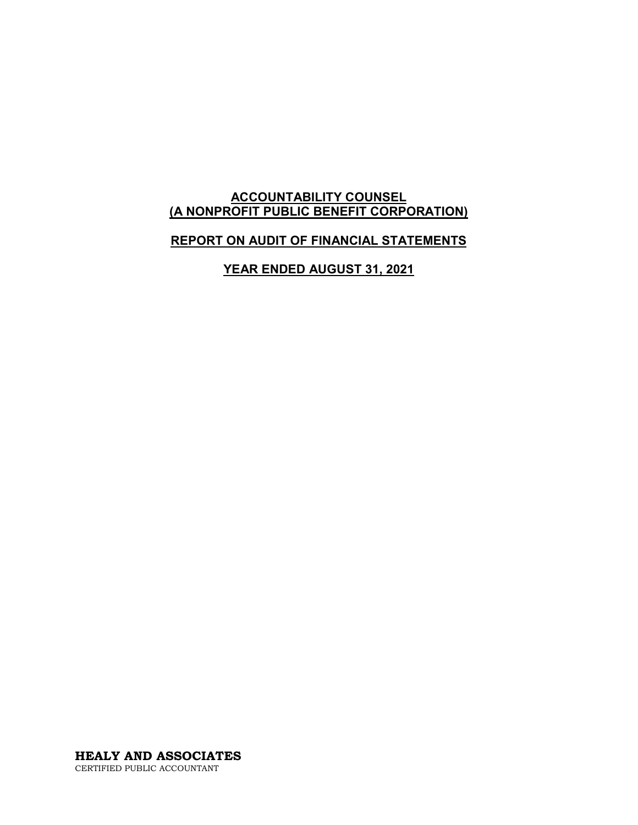#### **ACCOUNTABILITY COUNSEL (A NONPROFIT PUBLIC BENEFIT CORPORATION)**

### **REPORT ON AUDIT OF FINANCIAL STATEMENTS**

**YEAR ENDED AUGUST 31, 2021**

**HEALY AND ASSOCIATES** CERTIFIED PUBLIC ACCOUNTANT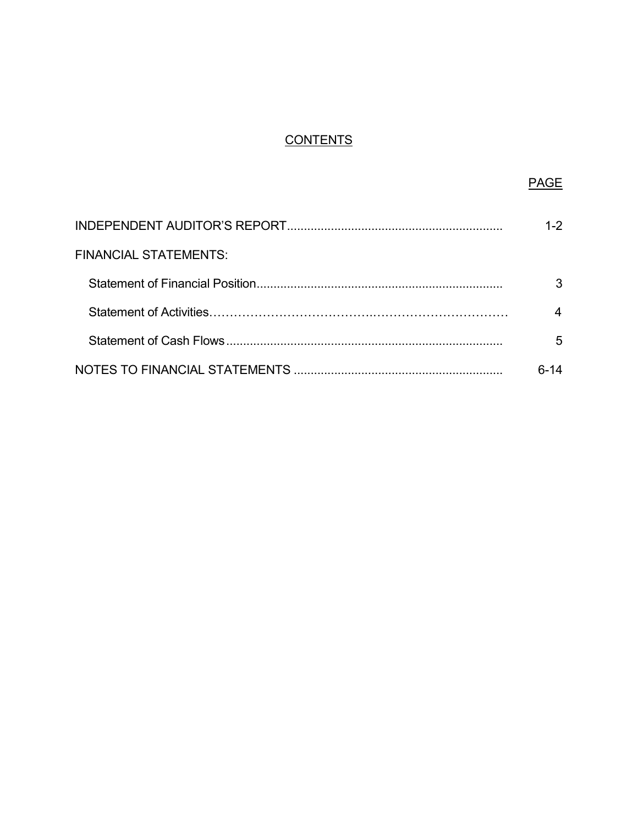# **CONTENTS**

|                              | 1-2  |
|------------------------------|------|
| <b>FINANCIAL STATEMENTS:</b> |      |
|                              |      |
|                              |      |
|                              | 5    |
|                              | հ-14 |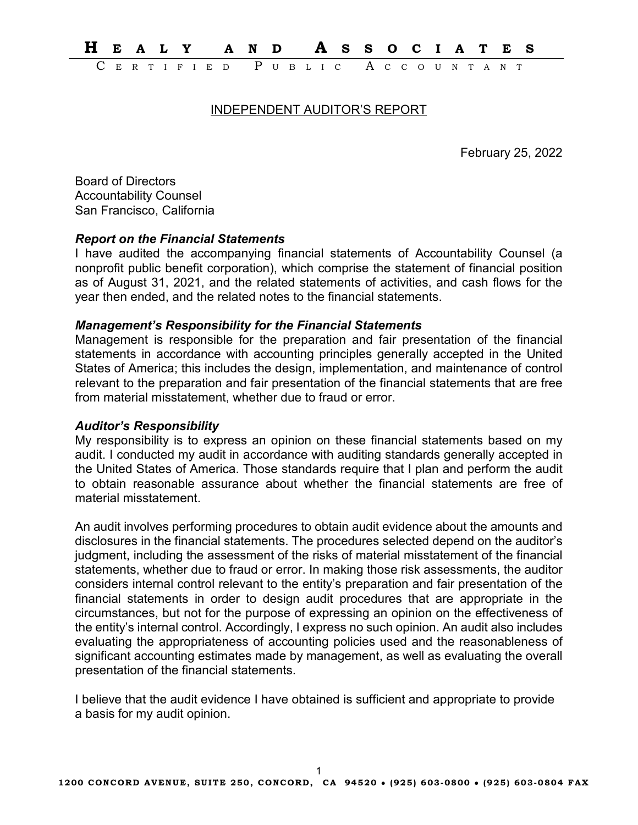**H EALY AND A SSOCIATES** ERTIFIED PUBLIC ACCOUNTAN

#### INDEPENDENT AUDITOR'S REPORT

February 25, 2022

Board of Directors Accountability Counsel San Francisco, California

#### *Report on the Financial Statements*

I have audited the accompanying financial statements of Accountability Counsel (a nonprofit public benefit corporation), which comprise the statement of financial position as of August 31, 2021, and the related statements of activities, and cash flows for the year then ended, and the related notes to the financial statements.

#### *Management's Responsibility for the Financial Statements*

Management is responsible for the preparation and fair presentation of the financial statements in accordance with accounting principles generally accepted in the United States of America; this includes the design, implementation, and maintenance of control relevant to the preparation and fair presentation of the financial statements that are free from material misstatement, whether due to fraud or error.

#### *Auditor's Responsibility*

My responsibility is to express an opinion on these financial statements based on my audit. I conducted my audit in accordance with auditing standards generally accepted in the United States of America. Those standards require that I plan and perform the audit to obtain reasonable assurance about whether the financial statements are free of material misstatement.

An audit involves performing procedures to obtain audit evidence about the amounts and disclosures in the financial statements. The procedures selected depend on the auditor's judgment, including the assessment of the risks of material misstatement of the financial statements, whether due to fraud or error. In making those risk assessments, the auditor considers internal control relevant to the entity's preparation and fair presentation of the financial statements in order to design audit procedures that are appropriate in the circumstances, but not for the purpose of expressing an opinion on the effectiveness of the entity's internal control. Accordingly, I express no such opinion. An audit also includes evaluating the appropriateness of accounting policies used and the reasonableness of significant accounting estimates made by management, as well as evaluating the overall presentation of the financial statements.

I believe that the audit evidence I have obtained is sufficient and appropriate to provide a basis for my audit opinion.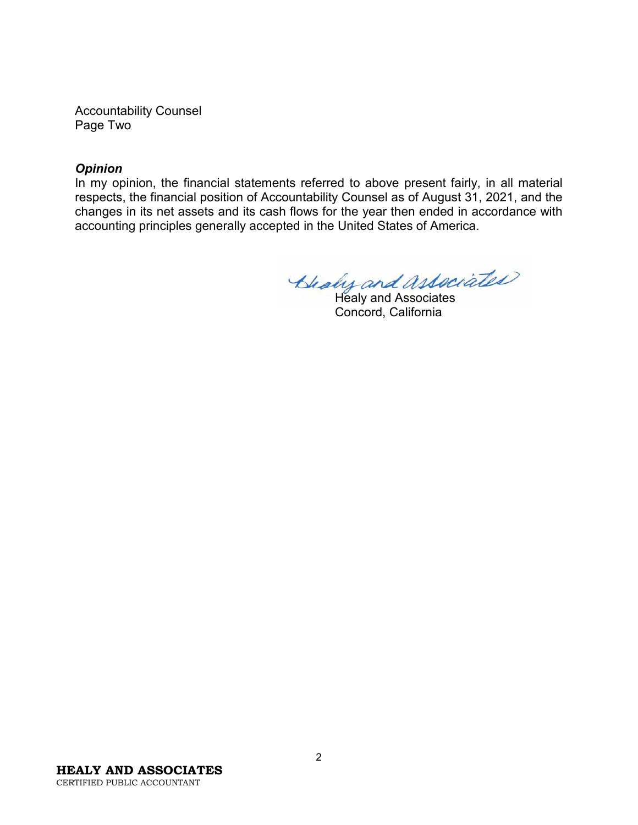Accountability Counsel Page Two

#### *Opinion*

In my opinion, the financial statements referred to above present fairly, in all material respects, the financial position of Accountability Counsel as of August 31, 2021, and the changes in its net assets and its cash flows for the year then ended in accordance with accounting principles generally accepted in the United States of America.

Bleaky and Associates

Concord, California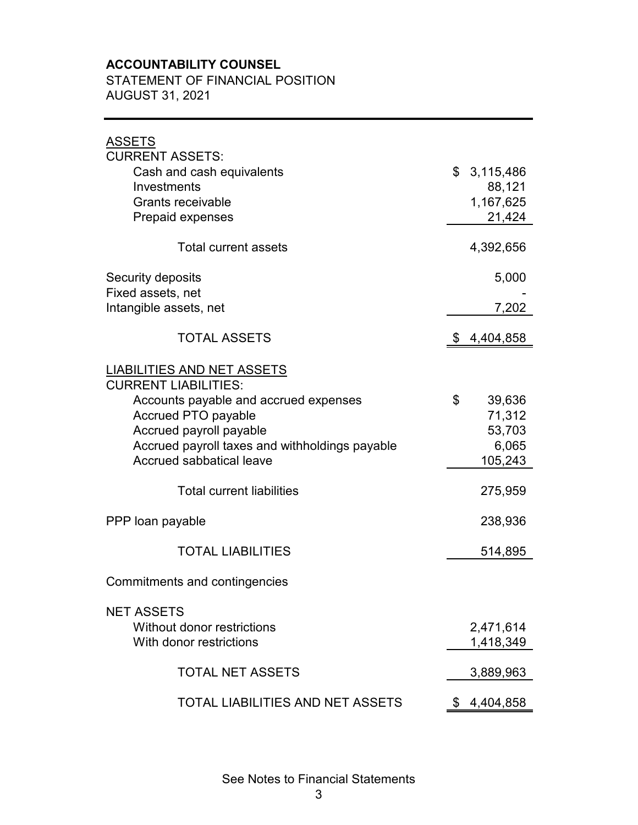## **ACCOUNTABILITY COUNSEL**

STATEMENT OF FINANCIAL POSITION AUGUST 31, 2021

| <b>ASSETS</b>                                                              |                  |
|----------------------------------------------------------------------------|------------------|
| <b>CURRENT ASSETS:</b>                                                     |                  |
| Cash and cash equivalents                                                  | \$<br>3,115,486  |
| Investments                                                                | 88,121           |
| <b>Grants receivable</b>                                                   | 1,167,625        |
| <b>Prepaid expenses</b>                                                    | 21,424           |
| <b>Total current assets</b>                                                | 4,392,656        |
| Security deposits                                                          | 5,000            |
| Fixed assets, net                                                          |                  |
| Intangible assets, net                                                     | 7,202            |
| <b>TOTAL ASSETS</b>                                                        | \$<br>4,404,858  |
| <b>LIABILITIES AND NET ASSETS</b><br><b>CURRENT LIABILITIES:</b>           |                  |
| Accounts payable and accrued expenses                                      | \$<br>39,636     |
| <b>Accrued PTO payable</b>                                                 | 71,312           |
| Accrued payroll payable                                                    | 53,703           |
| Accrued payroll taxes and withholdings payable<br>Accrued sabbatical leave | 6,065<br>105,243 |
|                                                                            |                  |
| <b>Total current liabilities</b>                                           | 275,959          |
| PPP loan payable                                                           | 238,936          |
| <b>TOTAL LIABILITIES</b>                                                   | 514,895          |
| Commitments and contingencies                                              |                  |
| <b>NET ASSETS</b>                                                          |                  |
| Without donor restrictions                                                 | 2,471,614        |
| With donor restrictions                                                    | 1,418,349        |
| <b>TOTAL NET ASSETS</b>                                                    | 3,889,963        |
| <b>TOTAL LIABILITIES AND NET ASSETS</b>                                    | \$<br>4,404,858  |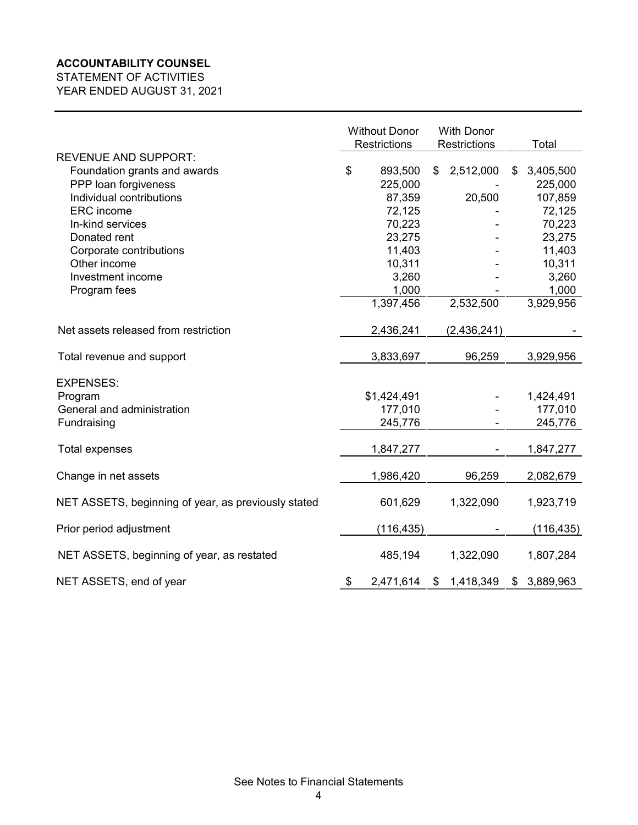#### **ACCOUNTABILITY COUNSEL**

STATEMENT OF ACTIVITIES YEAR ENDED AUGUST 31, 2021

|                                                     | <b>Without Donor</b><br><b>Restrictions</b> | <b>With Donor</b><br>Restrictions | Total           |
|-----------------------------------------------------|---------------------------------------------|-----------------------------------|-----------------|
| <b>REVENUE AND SUPPORT:</b>                         |                                             |                                   |                 |
| Foundation grants and awards                        | \$<br>893,500                               | 2,512,000<br>\$                   | 3,405,500<br>\$ |
| PPP loan forgiveness                                | 225,000                                     |                                   | 225,000         |
| Individual contributions                            | 87,359                                      | 20,500                            | 107,859         |
| <b>ERC</b> income                                   | 72,125                                      |                                   | 72,125          |
| In-kind services                                    | 70,223                                      |                                   | 70,223          |
| Donated rent                                        | 23,275                                      |                                   | 23,275          |
| Corporate contributions                             | 11,403                                      |                                   | 11,403          |
| Other income                                        | 10,311                                      |                                   | 10,311          |
| Investment income                                   | 3,260                                       |                                   | 3,260           |
| Program fees                                        | 1,000                                       |                                   | 1,000           |
|                                                     | 1,397,456                                   | 2,532,500                         | 3,929,956       |
|                                                     |                                             |                                   |                 |
| Net assets released from restriction                | 2,436,241                                   | (2,436,241)                       |                 |
| Total revenue and support                           | 3,833,697                                   | 96,259                            | 3,929,956       |
|                                                     |                                             |                                   |                 |
| <b>EXPENSES:</b>                                    |                                             |                                   |                 |
| Program                                             | \$1,424,491                                 |                                   | 1,424,491       |
| General and administration                          | 177,010                                     |                                   | 177,010         |
| Fundraising                                         | 245,776                                     |                                   | 245,776         |
|                                                     |                                             |                                   |                 |
| <b>Total expenses</b>                               | 1,847,277                                   |                                   | 1,847,277       |
| Change in net assets                                | 1,986,420                                   | 96,259                            | 2,082,679       |
| NET ASSETS, beginning of year, as previously stated | 601,629                                     | 1,322,090                         | 1,923,719       |
|                                                     |                                             |                                   |                 |
| Prior period adjustment                             | (116, 435)                                  |                                   | (116, 435)      |
| NET ASSETS, beginning of year, as restated          | 485,194                                     | 1,322,090                         | 1,807,284       |
| NET ASSETS, end of year                             | 2,471,614<br>\$                             | \$1,418,349                       | \$3,889,963     |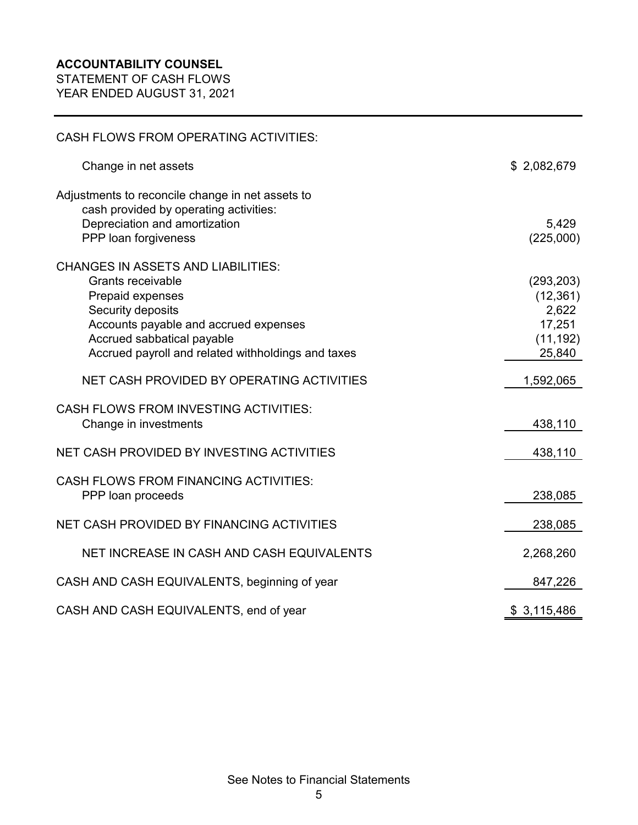STATEMENT OF CASH FLOWS YEAR ENDED AUGUST 31, 2021

| <b>CASH FLOWS FROM OPERATING ACTIVITIES:</b>                                                                                                                                                                                                |                                                                   |
|---------------------------------------------------------------------------------------------------------------------------------------------------------------------------------------------------------------------------------------------|-------------------------------------------------------------------|
| Change in net assets                                                                                                                                                                                                                        | \$2,082,679                                                       |
| Adjustments to reconcile change in net assets to<br>cash provided by operating activities:<br>Depreciation and amortization<br>PPP loan forgiveness                                                                                         | 5,429<br>(225,000)                                                |
| <b>CHANGES IN ASSETS AND LIABILITIES:</b><br><b>Grants receivable</b><br>Prepaid expenses<br>Security deposits<br>Accounts payable and accrued expenses<br>Accrued sabbatical payable<br>Accrued payroll and related withholdings and taxes | (293, 203)<br>(12, 361)<br>2,622<br>17,251<br>(11, 192)<br>25,840 |
| NET CASH PROVIDED BY OPERATING ACTIVITIES                                                                                                                                                                                                   | 1,592,065                                                         |
| <b>CASH FLOWS FROM INVESTING ACTIVITIES:</b><br>Change in investments                                                                                                                                                                       | 438,110                                                           |
| NET CASH PROVIDED BY INVESTING ACTIVITIES                                                                                                                                                                                                   | 438,110                                                           |
| <b>CASH FLOWS FROM FINANCING ACTIVITIES:</b><br>PPP loan proceeds                                                                                                                                                                           | 238,085                                                           |
| NET CASH PROVIDED BY FINANCING ACTIVITIES                                                                                                                                                                                                   | 238,085                                                           |
| NET INCREASE IN CASH AND CASH EQUIVALENTS                                                                                                                                                                                                   | 2,268,260                                                         |
| CASH AND CASH EQUIVALENTS, beginning of year                                                                                                                                                                                                | 847,226                                                           |
| CASH AND CASH EQUIVALENTS, end of year                                                                                                                                                                                                      | \$3,115,486                                                       |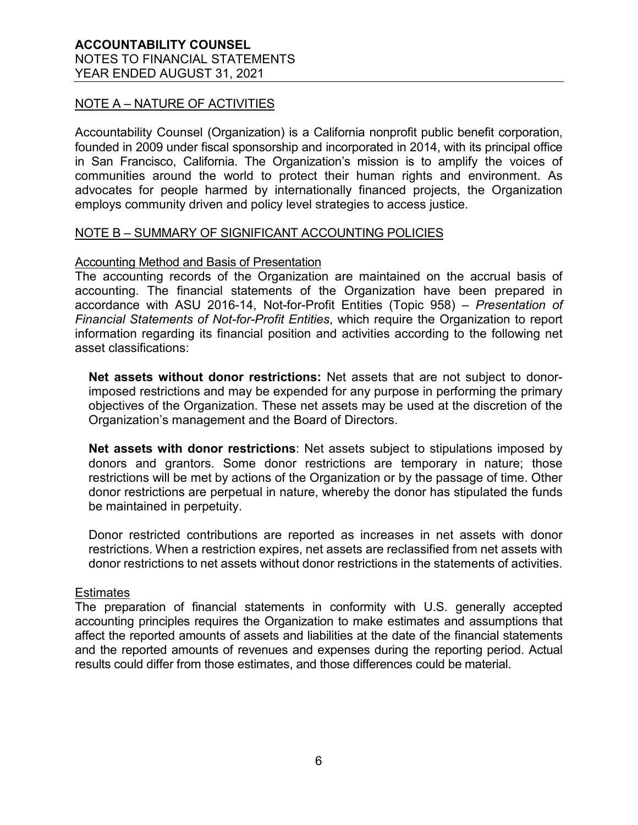### NOTE A – NATURE OF ACTIVITIES

Accountability Counsel (Organization) is a California nonprofit public benefit corporation, founded in 2009 under fiscal sponsorship and incorporated in 2014, with its principal office in San Francisco, California. The Organization's mission is to amplify the voices of communities around the world to protect their human rights and environment. As advocates for people harmed by internationally financed projects, the Organization employs community driven and policy level strategies to access justice.

#### NOTE B – SUMMARY OF SIGNIFICANT ACCOUNTING POLICIES

#### Accounting Method and Basis of Presentation

The accounting records of the Organization are maintained on the accrual basis of accounting. The financial statements of the Organization have been prepared in accordance with ASU 2016-14, Not-for-Profit Entities (Topic 958) – *Presentation of Financial Statements of Not-for-Profit Entities*, which require the Organization to report information regarding its financial position and activities according to the following net asset classifications:

**Net assets without donor restrictions:** Net assets that are not subject to donorimposed restrictions and may be expended for any purpose in performing the primary objectives of the Organization. These net assets may be used at the discretion of the Organization's management and the Board of Directors.

**Net assets with donor restrictions**: Net assets subject to stipulations imposed by donors and grantors. Some donor restrictions are temporary in nature; those restrictions will be met by actions of the Organization or by the passage of time. Other donor restrictions are perpetual in nature, whereby the donor has stipulated the funds be maintained in perpetuity.

Donor restricted contributions are reported as increases in net assets with donor restrictions. When a restriction expires, net assets are reclassified from net assets with donor restrictions to net assets without donor restrictions in the statements of activities.

#### Estimates

The preparation of financial statements in conformity with U.S. generally accepted accounting principles requires the Organization to make estimates and assumptions that affect the reported amounts of assets and liabilities at the date of the financial statements and the reported amounts of revenues and expenses during the reporting period. Actual results could differ from those estimates, and those differences could be material.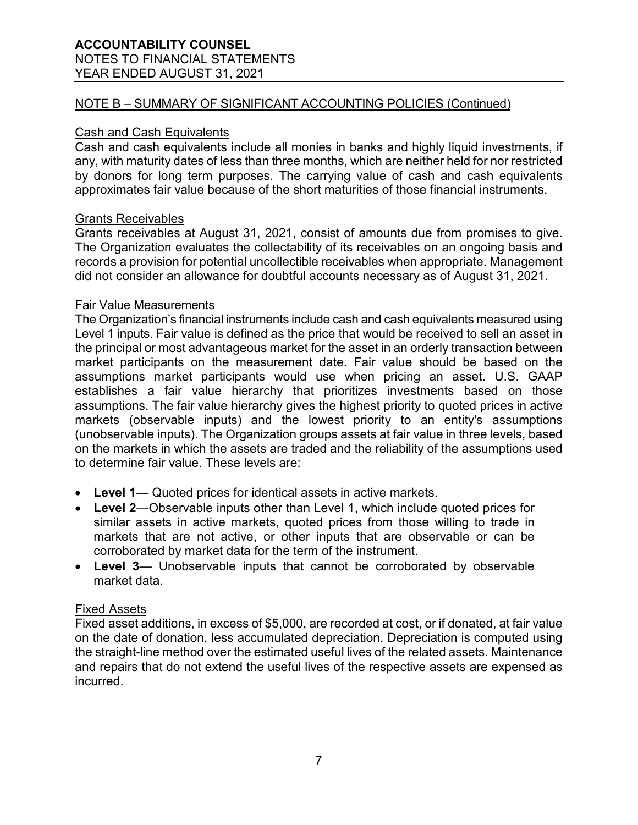# **ACCOUNTABILITY COUNSEL**

# NOTES TO FINANCIAL STATEMENTS

YEAR ENDED AUGUST 31, 2021

## NOTE B – SUMMARY OF SIGNIFICANT ACCOUNTING POLICIES (Continued)

#### Cash and Cash Equivalents

Cash and cash equivalents include all monies in banks and highly liquid investments, if any, with maturity dates of less than three months, which are neither held for nor restricted by donors for long term purposes. The carrying value of cash and cash equivalents approximates fair value because of the short maturities of those financial instruments.

### Grants Receivables

Grants receivables at August 31, 2021, consist of amounts due from promises to give. The Organization evaluates the collectability of its receivables on an ongoing basis and records a provision for potential uncollectible receivables when appropriate. Management did not consider an allowance for doubtful accounts necessary as of August 31, 2021.

#### Fair Value Measurements

The Organization's financial instruments include cash and cash equivalents measured using Level 1 inputs. Fair value is defined as the price that would be received to sell an asset in the principal or most advantageous market for the asset in an orderly transaction between market participants on the measurement date. Fair value should be based on the assumptions market participants would use when pricing an asset. U.S. GAAP establishes a fair value hierarchy that prioritizes investments based on those assumptions. The fair value hierarchy gives the highest priority to quoted prices in active markets (observable inputs) and the lowest priority to an entity's assumptions (unobservable inputs). The Organization groups assets at fair value in three levels, based on the markets in which the assets are traded and the reliability of the assumptions used to determine fair value. These levels are:

- **Level 1** Quoted prices for identical assets in active markets.
- **Level 2**—Observable inputs other than Level 1, which include quoted prices for similar assets in active markets, quoted prices from those willing to trade in markets that are not active, or other inputs that are observable or can be corroborated by market data for the term of the instrument.
- **Level 3** Unobservable inputs that cannot be corroborated by observable market data.

#### Fixed Assets

Fixed asset additions, in excess of \$5,000, are recorded at cost, or if donated, at fair value on the date of donation, less accumulated depreciation. Depreciation is computed using the straight-line method over the estimated useful lives of the related assets. Maintenance and repairs that do not extend the useful lives of the respective assets are expensed as incurred.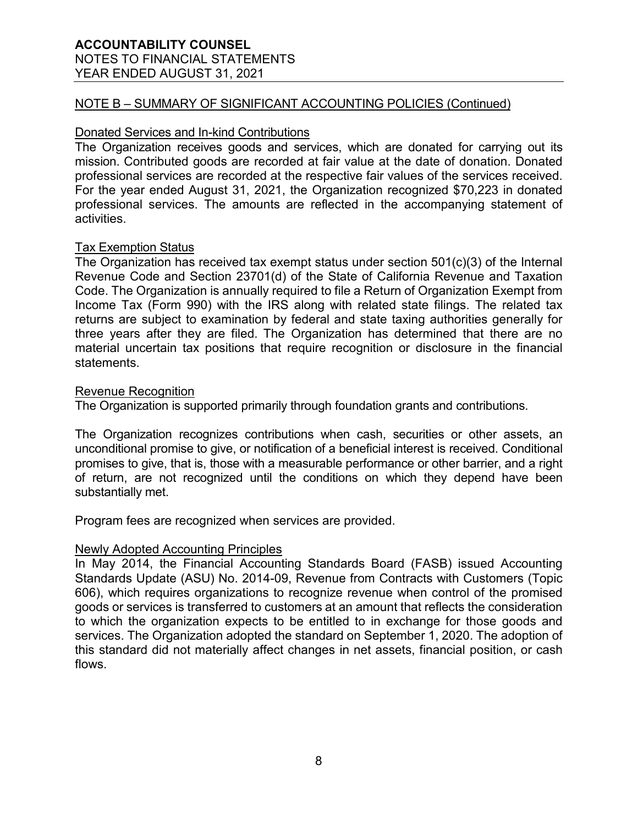## **ACCOUNTABILITY COUNSEL** NOTES TO FINANCIAL STATEMENTS

YEAR ENDED AUGUST 31, 2021

#### NOTE B – SUMMARY OF SIGNIFICANT ACCOUNTING POLICIES (Continued)

### Donated Services and In-kind Contributions

The Organization receives goods and services, which are donated for carrying out its mission. Contributed goods are recorded at fair value at the date of donation. Donated professional services are recorded at the respective fair values of the services received. For the year ended August 31, 2021, the Organization recognized \$70,223 in donated professional services. The amounts are reflected in the accompanying statement of activities.

#### Tax Exemption Status

The Organization has received tax exempt status under section 501(c)(3) of the Internal Revenue Code and Section 23701(d) of the State of California Revenue and Taxation Code. The Organization is annually required to file a Return of Organization Exempt from Income Tax (Form 990) with the IRS along with related state filings. The related tax returns are subject to examination by federal and state taxing authorities generally for three years after they are filed. The Organization has determined that there are no material uncertain tax positions that require recognition or disclosure in the financial statements.

#### Revenue Recognition

The Organization is supported primarily through foundation grants and contributions.

The Organization recognizes contributions when cash, securities or other assets, an unconditional promise to give, or notification of a beneficial interest is received. Conditional promises to give, that is, those with a measurable performance or other barrier, and a right of return, are not recognized until the conditions on which they depend have been substantially met.

Program fees are recognized when services are provided.

#### Newly Adopted Accounting Principles

In May 2014, the Financial Accounting Standards Board (FASB) issued Accounting Standards Update (ASU) No. 2014-09, Revenue from Contracts with Customers (Topic 606), which requires organizations to recognize revenue when control of the promised goods or services is transferred to customers at an amount that reflects the consideration to which the organization expects to be entitled to in exchange for those goods and services. The Organization adopted the standard on September 1, 2020. The adoption of this standard did not materially affect changes in net assets, financial position, or cash flows.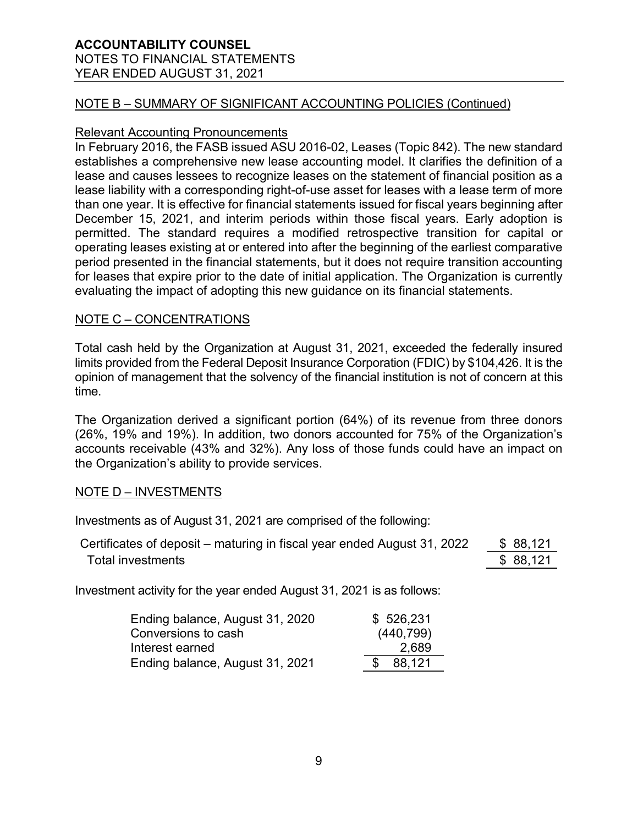# **ACCOUNTABILITY COUNSEL** NOTES TO FINANCIAL STATEMENTS

YEAR ENDED AUGUST 31, 2021

#### NOTE B – SUMMARY OF SIGNIFICANT ACCOUNTING POLICIES (Continued)

#### Relevant Accounting Pronouncements

In February 2016, the FASB issued ASU 2016-02, Leases (Topic 842). The new standard establishes a comprehensive new lease accounting model. It clarifies the definition of a lease and causes lessees to recognize leases on the statement of financial position as a lease liability with a corresponding right-of-use asset for leases with a lease term of more than one year. It is effective for financial statements issued for fiscal years beginning after December 15, 2021, and interim periods within those fiscal years. Early adoption is permitted. The standard requires a modified retrospective transition for capital or operating leases existing at or entered into after the beginning of the earliest comparative period presented in the financial statements, but it does not require transition accounting for leases that expire prior to the date of initial application. The Organization is currently evaluating the impact of adopting this new guidance on its financial statements.

#### NOTE C – CONCENTRATIONS

Total cash held by the Organization at August 31, 2021, exceeded the federally insured limits provided from the Federal Deposit Insurance Corporation (FDIC) by \$104,426. It is the opinion of management that the solvency of the financial institution is not of concern at this time.

The Organization derived a significant portion (64%) of its revenue from three donors (26%, 19% and 19%). In addition, two donors accounted for 75% of the Organization's accounts receivable (43% and 32%). Any loss of those funds could have an impact on the Organization's ability to provide services.

#### NOTE D – INVESTMENTS

Investments as of August 31, 2021 are comprised of the following:

| Certificates of deposit – maturing in fiscal year ended August 31, 2022 | \$ 88,121 |
|-------------------------------------------------------------------------|-----------|
| Total investments                                                       | \$ 88,121 |

Investment activity for the year ended August 31, 2021 is as follows:

| Ending balance, August 31, 2020 | \$526,231  |
|---------------------------------|------------|
| Conversions to cash             | (440, 799) |
| Interest earned                 | 2,689      |
| Ending balance, August 31, 2021 | 88,121     |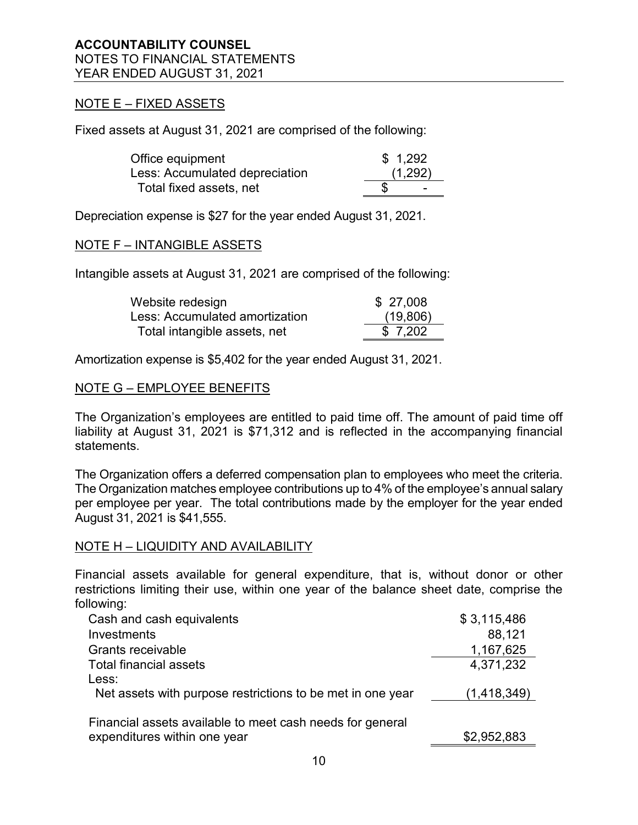#### NOTE E – FIXED ASSETS

Fixed assets at August 31, 2021 are comprised of the following:

| Office equipment               | \$1,292 |                          |
|--------------------------------|---------|--------------------------|
| Less: Accumulated depreciation |         | (1,292)                  |
| Total fixed assets, net        |         | $\overline{\phantom{0}}$ |

Depreciation expense is \$27 for the year ended August 31, 2021.

#### NOTE F – INTANGIBLE ASSETS

Intangible assets at August 31, 2021 are comprised of the following:

| Website redesign               | \$27,008 |
|--------------------------------|----------|
| Less: Accumulated amortization | (19,806) |
| Total intangible assets, net   | \$7,202  |

Amortization expense is \$5,402 for the year ended August 31, 2021.

#### NOTE G – EMPLOYEE BENEFITS

The Organization's employees are entitled to paid time off. The amount of paid time off liability at August 31, 2021 is \$71,312 and is reflected in the accompanying financial statements.

The Organization offers a deferred compensation plan to employees who meet the criteria. The Organization matches employee contributions up to 4% of the employee's annual salary per employee per year. The total contributions made by the employer for the year ended August 31, 2021 is \$41,555.

#### NOTE H – LIQUIDITY AND AVAILABILITY

Financial assets available for general expenditure, that is, without donor or other restrictions limiting their use, within one year of the balance sheet date, comprise the following:

| Cash and cash equivalents                                  | \$3,115,486 |
|------------------------------------------------------------|-------------|
| Investments                                                | 88,121      |
| Grants receivable                                          | 1,167,625   |
| <b>Total financial assets</b>                              | 4,371,232   |
| Less:                                                      |             |
| Net assets with purpose restrictions to be met in one year | (1,418,349) |
|                                                            |             |
| Financial assets available to meet cash needs for general  |             |
| expenditures within one year                               | \$2,952,883 |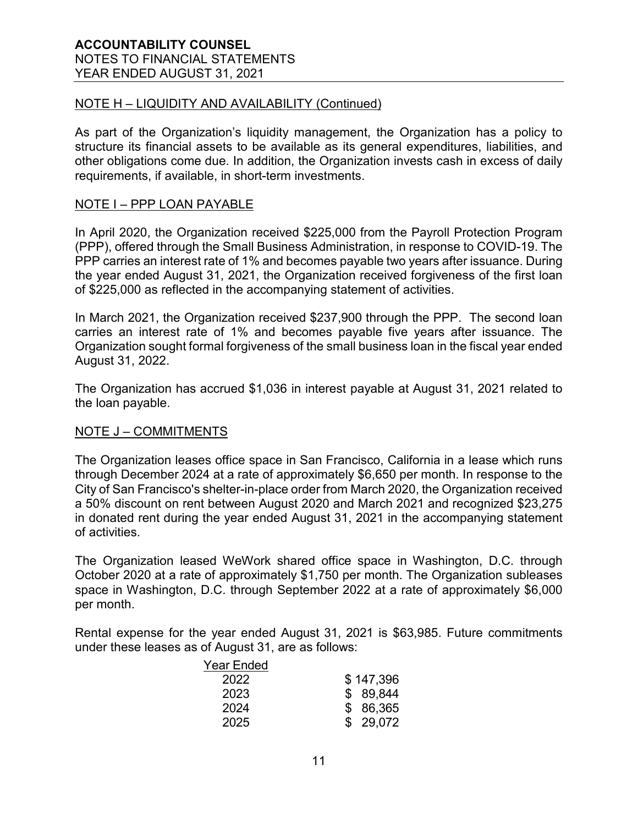#### NOTE H – LIQUIDITY AND AVAILABILITY (Continued)

As part of the Organization's liquidity management, the Organization has a policy to structure its financial assets to be available as its general expenditures, liabilities, and other obligations come due. In addition, the Organization invests cash in excess of daily requirements, if available, in short-term investments.

#### NOTE I – PPP LOAN PAYABLE

In April 2020, the Organization received \$225,000 from the Payroll Protection Program (PPP), offered through the Small Business Administration, in response to COVID-19. The PPP carries an interest rate of 1% and becomes payable two years after issuance. During the year ended August 31, 2021, the Organization received forgiveness of the first loan of \$225,000 as reflected in the accompanying statement of activities.

In March 2021, the Organization received \$237,900 through the PPP. The second loan carries an interest rate of 1% and becomes payable five years after issuance. The Organization sought formal forgiveness of the small business loan in the fiscal year ended August 31, 2022.

The Organization has accrued \$1,036 in interest payable at August 31, 2021 related to the loan payable.

#### NOTE J – COMMITMENTS

The Organization leases office space in San Francisco, California in a lease which runs through December 2024 at a rate of approximately \$6,650 per month. In response to the City of San Francisco's shelter-in-place order from March 2020, the Organization received a 50% discount on rent between August 2020 and March 2021 and recognized \$23,275 in donated rent during the year ended August 31, 2021 in the accompanying statement of activities.

The Organization leased WeWork shared office space in Washington, D.C. through October 2020 at a rate of approximately \$1,750 per month. The Organization subleases space in Washington, D.C. through September 2022 at a rate of approximately \$6,000 per month.

Rental expense for the year ended August 31, 2021 is \$63,985. Future commitments under these leases as of August 31, are as follows:

| <b>Year Ended</b> |           |
|-------------------|-----------|
| 2022              | \$147,396 |
| 2023              | \$ 89,844 |
| 2024              | \$86,365  |
| 2025              | \$29,072  |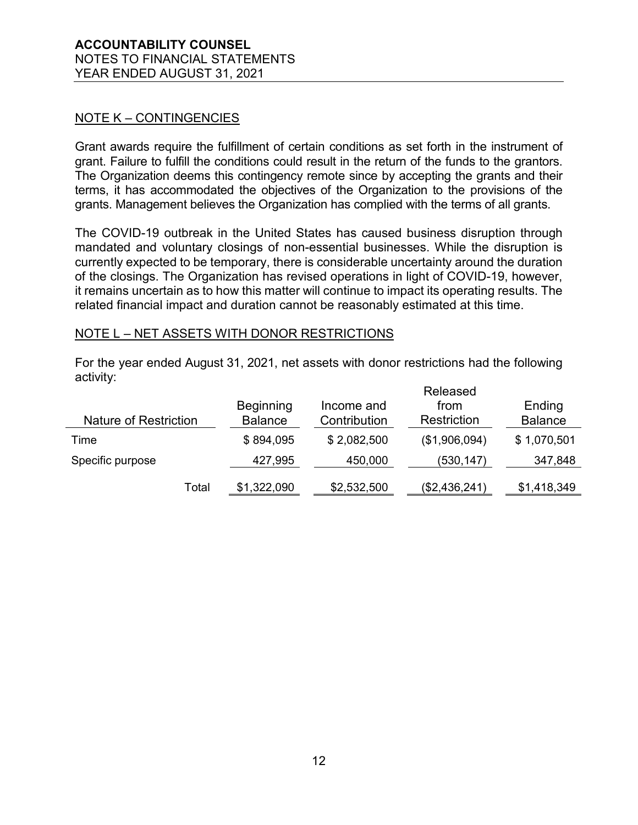#### NOTE K – CONTINGENCIES

Grant awards require the fulfillment of certain conditions as set forth in the instrument of grant. Failure to fulfill the conditions could result in the return of the funds to the grantors. The Organization deems this contingency remote since by accepting the grants and their terms, it has accommodated the objectives of the Organization to the provisions of the grants. Management believes the Organization has complied with the terms of all grants.

The COVID-19 outbreak in the United States has caused business disruption through mandated and voluntary closings of non-essential businesses. While the disruption is currently expected to be temporary, there is considerable uncertainty around the duration of the closings. The Organization has revised operations in light of COVID-19, however, it remains uncertain as to how this matter will continue to impact its operating results. The related financial impact and duration cannot be reasonably estimated at this time.

#### NOTE L – NET ASSETS WITH DONOR RESTRICTIONS

For the year ended August 31, 2021, net assets with donor restrictions had the following activity:

|                       |       |                                    | Released                   |                     |                          |
|-----------------------|-------|------------------------------------|----------------------------|---------------------|--------------------------|
| Nature of Restriction |       | <b>Beginning</b><br><b>Balance</b> | Income and<br>Contribution | from<br>Restriction | Ending<br><b>Balance</b> |
| Time                  |       | \$894,095                          | \$2,082,500                | (\$1,906,094)       | \$1,070,501              |
| Specific purpose      |       | 427,995                            | 450,000                    | (530, 147)          | 347,848                  |
|                       | Total | \$1,322,090                        | \$2,532,500                | (\$2,436,241)       | \$1,418,349              |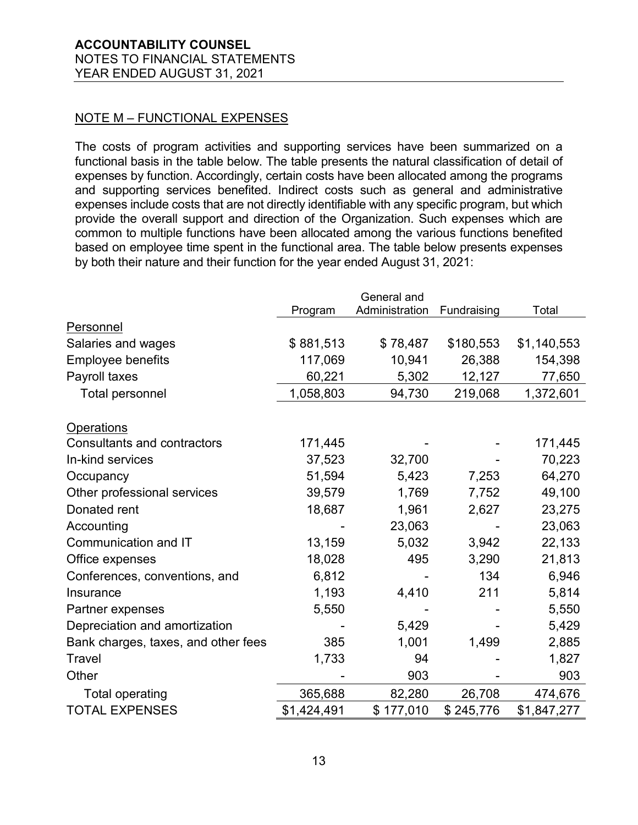### NOTE M – FUNCTIONAL EXPENSES

The costs of program activities and supporting services have been summarized on a functional basis in the table below. The table presents the natural classification of detail of expenses by function. Accordingly, certain costs have been allocated among the programs and supporting services benefited. Indirect costs such as general and administrative expenses include costs that are not directly identifiable with any specific program, but which provide the overall support and direction of the Organization. Such expenses which are common to multiple functions have been allocated among the various functions benefited based on employee time spent in the functional area. The table below presents expenses by both their nature and their function for the year ended August 31, 2021:

|                                     |             | General and    |             |             |
|-------------------------------------|-------------|----------------|-------------|-------------|
|                                     | Program     | Administration | Fundraising | Total       |
| Personnel                           |             |                |             |             |
| Salaries and wages                  | \$881,513   | \$78,487       | \$180,553   | \$1,140,553 |
| <b>Employee benefits</b>            | 117,069     | 10,941         | 26,388      | 154,398     |
| Payroll taxes                       | 60,221      | 5,302          | 12,127      | 77,650      |
| <b>Total personnel</b>              | 1,058,803   | 94,730         | 219,068     | 1,372,601   |
|                                     |             |                |             |             |
| <b>Operations</b>                   |             |                |             |             |
| <b>Consultants and contractors</b>  | 171,445     |                |             | 171,445     |
| In-kind services                    | 37,523      | 32,700         |             | 70,223      |
| Occupancy                           | 51,594      | 5,423          | 7,253       | 64,270      |
| Other professional services         | 39,579      | 1,769          | 7,752       | 49,100      |
| Donated rent                        | 18,687      | 1,961          | 2,627       | 23,275      |
| Accounting                          |             | 23,063         |             | 23,063      |
| Communication and IT                | 13,159      | 5,032          | 3,942       | 22,133      |
| Office expenses                     | 18,028      | 495            | 3,290       | 21,813      |
| Conferences, conventions, and       | 6,812       |                | 134         | 6,946       |
| Insurance                           | 1,193       | 4,410          | 211         | 5,814       |
| Partner expenses                    | 5,550       |                |             | 5,550       |
| Depreciation and amortization       |             | 5,429          |             | 5,429       |
| Bank charges, taxes, and other fees | 385         | 1,001          | 1,499       | 2,885       |
| Travel                              | 1,733       | 94             |             | 1,827       |
| Other                               |             | 903            |             | 903         |
| <b>Total operating</b>              | 365,688     | 82,280         | 26,708      | 474,676     |
| <b>TOTAL EXPENSES</b>               | \$1,424,491 | \$177,010      | \$245,776   | \$1,847,277 |